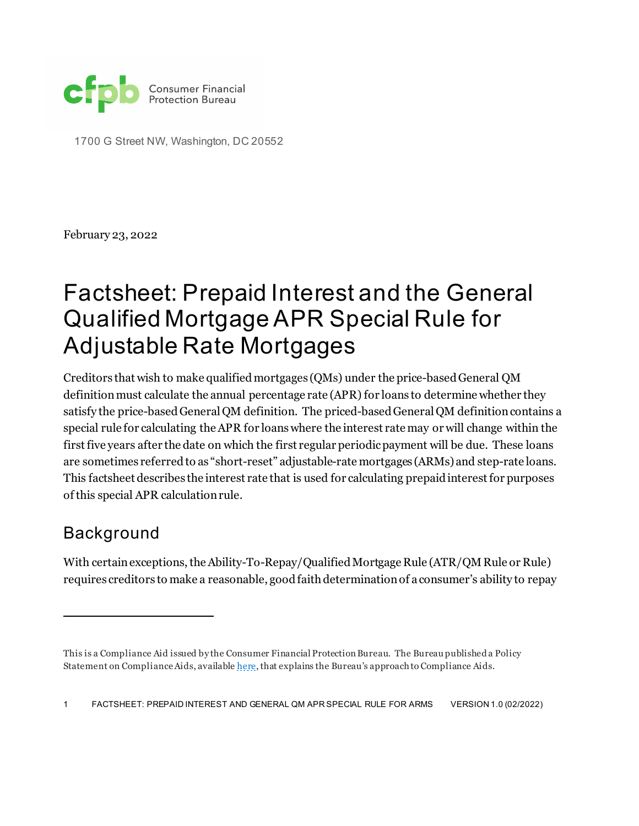

1700 G Street NW, Washington, DC 20552

February 23, 2022

## Factsheet: Prepaid Interest and the General Qualified Mortgage APR Special Rule for Adjustable Rate Mortgages[1](#page-0-0)

Creditors that wish to make qualified mortgages (QMs) under the price-based General QM definition must calculate the annual percentage rate (APR) for loans to determine whether they satisfy the price-based General QM definition. The priced-based General QM definition contains a special rule for calculating the APR for loanswhere the interest rate may or will change within the first five years after the date on which the first regular periodic payment will be due. These loans are sometimes referred to as "short-reset" adjustable-rate mortgages (ARMs) and step-rate loans. This factsheet describes the interest rate that is used for calculating prepaid interest for purposes of this special APR calculationrule.

## Background

With certain exceptions, the Ability-To-Repay/Qualified Mortgage Rule (ATR/QM Rule or Rule) requires creditors to make a reasonable, good faith determination of a consumer's ability to repay

1 FACTSHEET: PREPAID INTEREST AND GENERAL QM APR SPECIAL RULE FOR ARMS VERSION 1.0 (02/2022)

<span id="page-0-0"></span>This is a Compliance Aid issued by the Consumer Financial Protection Bureau. The Bureau published a Policy Statement on Compliance Aids, availabl[e here,](https://www.consumerfinance.gov/rules-policy/final-rules/policy-statement-compliance-aids/) that explains the Bureau's approach to Compliance Aids.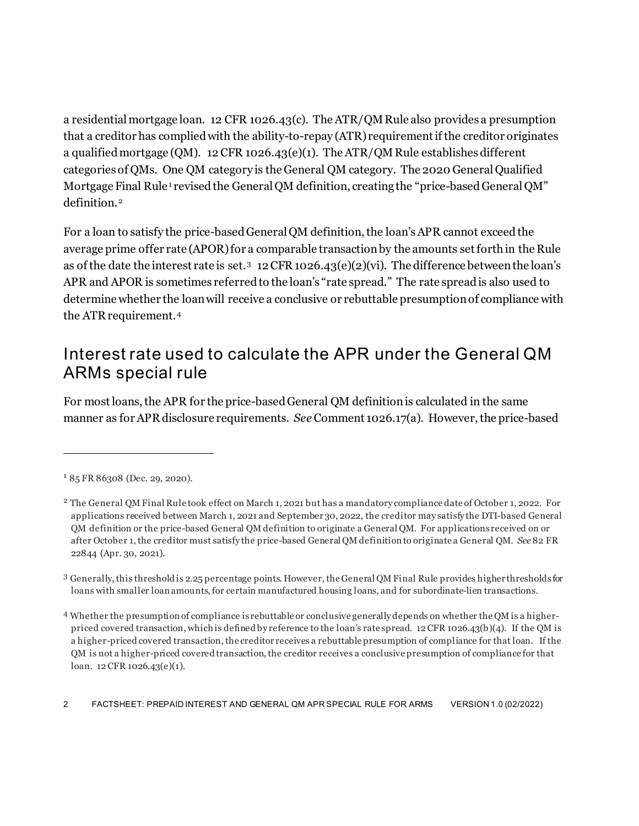a residential mortgage loan. 12 CFR 1026.43(c). The ATR/QM Rule also provides a presumption that a creditor has complied with the ability-to-repay (ATR) requirement if the creditor originates a qualified mortgage (QM). 12 CFR 1026.43(e)(1). The ATR/QM Rule establishes different categories of QMs. One QM category is the General QM category. The 2020 General Qualified Mortgage Final Rule<sup>[1](#page-1-0)</sup> revised the General QM definition, creating the "price-based General QM" definition.<sup>[2](#page-1-1)</sup>

For a loan to satisfy the price-based General QM definition, the loan's APR cannot exceed the average prime offer rate (APOR) for a comparable transaction by the amounts set forth in the Rule as of the date the interest rate is set.[3](#page-1-2)12 CFR 1026.43(e)(2)(vi). The difference between the loan's APR and APOR is sometimes referred to the loan's "rate spread." The rate spread is also used to determine whether the loan will receive a conclusive or rebuttable presumption of compliance with the ATR requirement.[4](#page-1-3) 

## Interest rate used to calculate the APR under the General QM ARMs special rule

For most loans, the APR for the price-based General QM definition is calculated in the same manner as for APR disclosure requirements. *See* Comment 1026.17(a). However, the price-based

<span id="page-1-0"></span> $185$  FR 86308 (Dec. 29, 2020).

<span id="page-1-1"></span><sup>2</sup> The General QM Final Rule took effect on March 1, 2021 but has a mandatory compliance date of October 1, 2022. For applications received between March 1, 2021 and September 30, 2022, the creditor may satisfy the DTI-based General QM definition or the price-based General QM definition to originate a General QM. For applications received on or after October 1, the creditor must satisfy the price-based General QM definition to originate a General QM. *See* 82 FR 22844 (Apr. 30, 2021).

<span id="page-1-2"></span><sup>3</sup> Generally, this threshold is 2.25 percentage points. However, the General QM Final Rule provides higher thresholds for loans with smaller loan amounts, for certain manufactured housing loans, and for subordinate-lien transactions.

<span id="page-1-3"></span><sup>4</sup> Whether the presumption of compliance is rebuttable or conclusive generally depends on whether the QM is a higherpriced covered transaction, which is defined by reference to the loan's rate spread. 12 CFR 1026.43(b)(4). If the QM is a higher-priced covered transaction, the creditor receives a rebuttable presumption of compliance for that loan. If the QM is not a higher-priced covered transaction, the creditor receives a conclusive presumption of compliance for that loan. 12 CFR 1026.43(e)(1).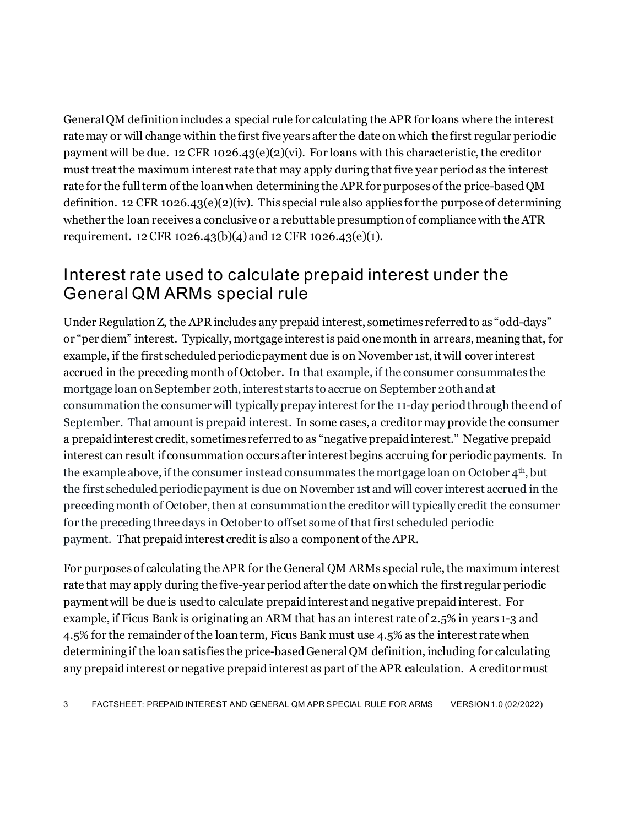General QM definitionincludes a special rule for calculating the APR for loans where the interest rate may or will change within the first five years after the date on which the first regular periodic payment will be due. 12 CFR 1026.43(e)(2)(vi). For loans with this characteristic, the creditor must treat the maximum interest rate that may apply during that five year period as the interest rate for the full term of the loan when determining the APR for purposes of the price-based QM definition. 12 CFR 1026.43(e)(2)(iv). This special rule also applies for the purpose of determining whether the loan receives a conclusive or a rebuttable presumption of compliance with the ATR requirement. 12 CFR 1026.43(b)(4) and 12 CFR 1026.43(e)(1).

## Interest rate used to calculate prepaid interest under the General QM ARMs special rule

Under Regulation Z, the APR includes any prepaid interest, sometimes referred to as "odd-days" or "per diem" interest. Typically, mortgage interest is paid one month in arrears, meaning that, for example, if the first scheduled periodic payment due is on November 1st, it will cover interest accrued in the preceding month of October. In that example, if the consumer consummates the mortgage loan on September 20th, interest starts to accrue on September 20th and at consummation the consumer will typically prepay interest for the 11-day period through the end of September. That amount is prepaid interest. In some cases, a creditor may provide the consumer a prepaid interest credit, sometimes referred to as "negative prepaid interest." Negative prepaid interest can result if consummation occurs after interest begins accruing for periodic payments. In the example above, if the consumer instead consummates the mortgage loan on October  $4<sup>th</sup>$ , but the first scheduled periodic payment is due on November 1st and will cover interest accrued in the preceding month of October, then at consummation the creditor will typically credit the consumer for the preceding three days in October to offset some of that first scheduled periodic payment. That prepaid interest credit is also a component of the APR.

For purposes of calculating the APR for the General QM ARMs special rule, the maximum interest rate that may apply during the five-year period after the date on which the first regular periodic payment will be due is used to calculate prepaid interest and negative prepaid interest. For example, if Ficus Bank is originating an ARM that has an interest rate of 2.5% in years 1-3 and 4.5% for the remainder of the loan term, Ficus Bank must use 4.5% as the interest rate when determining if the loan satisfies the price-based General QM definition, including for calculating any prepaid interest or negative prepaid interest as part of the APR calculation. A creditor must